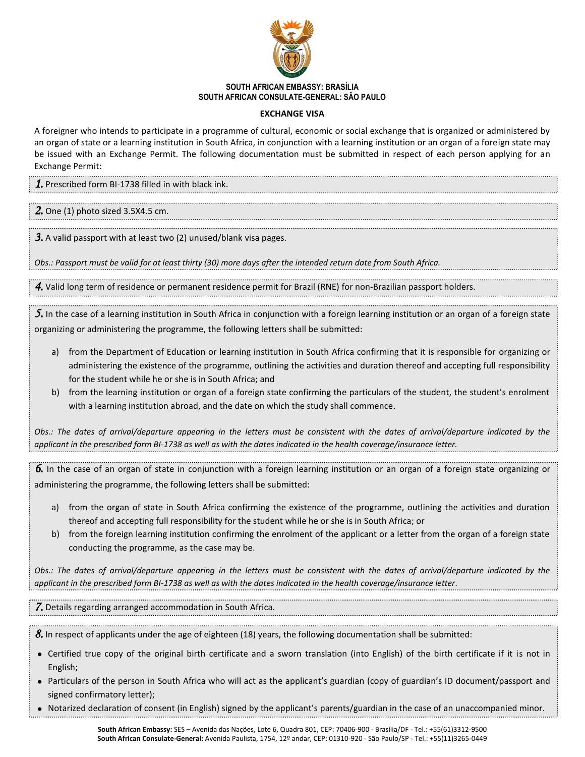

## **SOUTH AFRICAN EMBASSY: BRASÍLIA SOUTH AFRICAN CONSULATE-GENERAL: SÃO PAULO**

## **EXCHANGE VISA**

A foreigner who intends to participate in a programme of cultural, economic or social exchange that is organized or administered by an organ of state or a learning institution in South Africa, in conjunction with a learning institution or an organ of a foreign state may be issued with an Exchange Permit. The following documentation must be submitted in respect of each person applying for an Exchange Permit:

*1.* Prescribed form BI-1738 filled in with black ink.

*2.* One (1) photo sized 3.5X4.5 cm.

*3.* A valid passport with at least two (2) unused/blank visa pages.

*Obs.: Passport must be valid for at least thirty (30) more days after the intended return date from South Africa.*

*4.* Valid long term of residence or permanent residence permit for Brazil (RNE) for non-Brazilian passport holders.

*5.* In the case of a learning institution in South Africa in conjunction with a foreign learning institution or an organ of a foreign state organizing or administering the programme, the following letters shall be submitted:

- a) from the Department of Education or learning institution in South Africa confirming that it is responsible for organizing or administering the existence of the programme, outlining the activities and duration thereof and accepting full responsibility for the student while he or she is in South Africa; and
- b) from the learning institution or organ of a foreign state confirming the particulars of the student, the student's enrolment with a learning institution abroad, and the date on which the study shall commence.

*Obs.: The dates of arrival/departure appearing in the letters must be consistent with the dates of arrival/departure indicated by the applicant in the prescribed form BI-1738 as well as with the dates indicated in the health coverage/insurance letter.*

*6.* In the case of an organ of state in conjunction with a foreign learning institution or an organ of a foreign state organizing or administering the programme, the following letters shall be submitted:

- a) from the organ of state in South Africa confirming the existence of the programme, outlining the activities and duration thereof and accepting full responsibility for the student while he or she is in South Africa; or
- b) from the foreign learning institution confirming the enrolment of the applicant or a letter from the organ of a foreign state conducting the programme, as the case may be.

*Obs.: The dates of arrival/departure appearing in the letters must be consistent with the dates of arrival/departure indicated by the applicant in the prescribed form BI-1738 as well as with the dates indicated in the health coverage/insurance letter.*

*7.* Details regarding arranged accommodation in South Africa.

*8.* In respect of applicants under the age of eighteen (18) years, the following documentation shall be submitted:

- Certified true copy of the original birth certificate and a sworn translation (into English) of the birth certificate if it is not in English;
- Particulars of the person in South Africa who will act as the applicant's guardian (copy of guardian's ID document/passport and signed confirmatory letter);
- Notarized declaration of consent (in English) signed by the applicant's parents/guardian in the case of an unaccompanied minor.